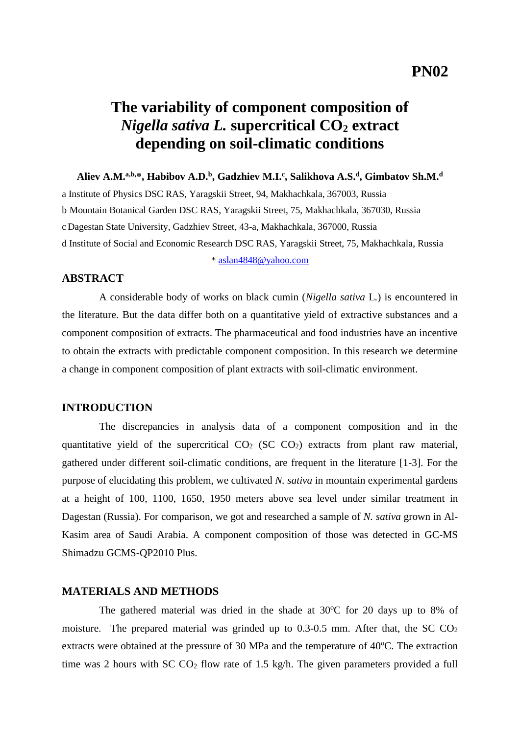# **The variability of component composition of**  *Nigella sativa L.* **supercritical CO<sup>2</sup> extract depending on soil-climatic conditions**

**Aliev A.M.a,b,\*, Habibov A.D.<sup>b</sup> , Gadzhiev M.I.<sup>c</sup> , Salikhova A.S.<sup>d</sup> , Gimbatov Sh.M.<sup>d</sup>**

a Institute of Physics DSC RAS, Yaragskii Street, 94, Makhachkala, 367003, Russia b Mountain Botanical Garden DSC RAS, Yaragskii Street, 75, Makhachkala, 367030, Russia c Dagestan State University, Gadzhiev Street, 43-a, Makhachkala, 367000, Russia d Institute of Social and Economic Research DSC RAS, Yaragskii Street, 75, Makhachkala, Russia \* [aslan4848@yahoo.com](mailto:aslan4848@yahoo.com)

### **ABSTRACT**

A considerable body of works on black cumin (*Nigella sativa* L*.*) is encountered in the literature. But the data differ both on a quantitative yield of extractive substances and a component composition of extracts. The pharmaceutical and food industries have an incentive to obtain the extracts with predictable component composition. In this research we determine a change in component composition of plant extracts with soil-climatic environment.

### **INTRODUCTION**

The discrepancies in analysis data of a component composition and in the quantitative yield of the supercritical  $CO<sub>2</sub>$  (SC  $CO<sub>2</sub>$ ) extracts from plant raw material, gathered under different soil-climatic conditions, are frequent in the literature [1-3]. For the purpose of elucidating this problem, we cultivated *N. sativa* in mountain experimental gardens at a height of 100, 1100, 1650, 1950 meters above sea level under similar treatment in Dagestan (Russia). For comparison, we got and researched a sample of *N. sativa* grown in Al-Kasim area of Saudi Arabia. A component composition of those was detected in GC-MS Shimadzu GCMS-QP2010 Plus.

#### **MATERIALS AND METHODS**

The gathered material was dried in the shade at  $30^{\circ}$ C for 20 days up to 8% of moisture. The prepared material was grinded up to  $0.3{\text -}0.5$  mm. After that, the SC  $CO<sub>2</sub>$ extracts were obtained at the pressure of 30 MPa and the temperature of  $40^{\circ}$ C. The extraction time was 2 hours with  $SC CO<sub>2</sub>$  flow rate of 1.5 kg/h. The given parameters provided a full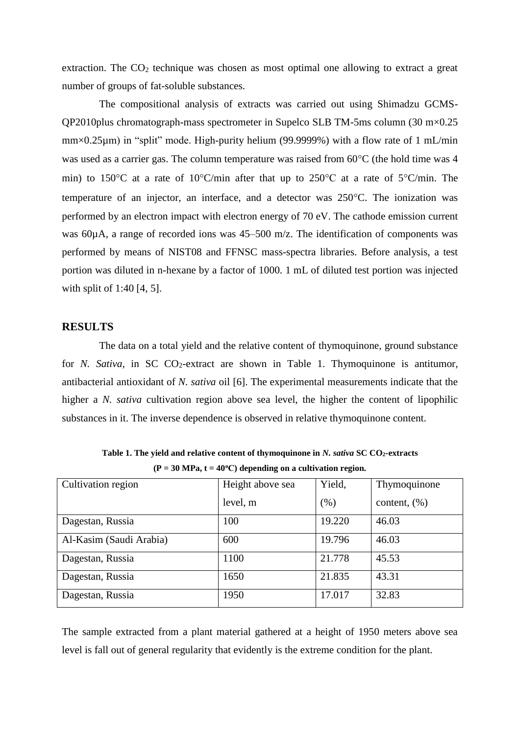extraction. The  $CO<sub>2</sub>$  technique was chosen as most optimal one allowing to extract a great number of groups of fat-soluble substances.

The compositional analysis of extracts was carried out using Shimadzu GCMS-QP2010plus chromatograph-mass spectrometer in Supelco SLB TM-5ms column (30 m×0.25 mm×0.25µm) in "split" mode. High-purity helium (99.9999%) with a flow rate of 1 mL/min was used as a carrier gas. The column temperature was raised from  $60^{\circ}$ C (the hold time was 4 min) to 150 °C at a rate of 10 °C/min after that up to 250 °C at a rate of  $5$  °C/min. The temperature of an injector, an interface, and a detector was  $250^{\circ}$ C. The ionization was performed by an electron impact with electron energy of 70 eV. The cathode emission current was 60uA, a range of recorded ions was 45–500 m/z. The identification of components was performed by means of NIST08 and FFNSC mass-spectra libraries. Before analysis, a test portion was diluted in n-hexane by a factor of 1000. 1 mL of diluted test portion was injected with split of 1:40 [4, 5].

### **RESULTS**

The data on a total yield and the relative content of thymoquinone, ground substance for *N. Sativa*, in SC  $CO<sub>2</sub>$ -extract are shown in Table 1. Thymoquinone is antitumor, antibacterial antioxidant of *N. sativa* oil [6]. The experimental measurements indicate that the higher a *N. sativa* cultivation region above sea level, the higher the content of lipophilic substances in it. The inverse dependence is observed in relative thymoquinone content.

| Cultivation region      | Height above sea | Yield, | Thymoquinone    |
|-------------------------|------------------|--------|-----------------|
|                         | level, m         | (% )   | content, $(\%)$ |
| Dagestan, Russia        | 100              | 19.220 | 46.03           |
| Al-Kasim (Saudi Arabia) | 600              | 19.796 | 46.03           |
| Dagestan, Russia        | 1100             | 21.778 | 45.53           |
| Dagestan, Russia        | 1650             | 21.835 | 43.31           |
| Dagestan, Russia        | 1950             | 17.017 | 32.83           |

**Table 1. The yield and relative content of thymoquinone in** *N. sativa* **SC CO2-extracts (P = 30 MPa, t = 40<sup>o</sup>С) depending on a cultivation region.**

The sample extracted from a plant material gathered at a height of 1950 meters above sea level is fall out of general regularity that evidently is the extreme condition for the plant.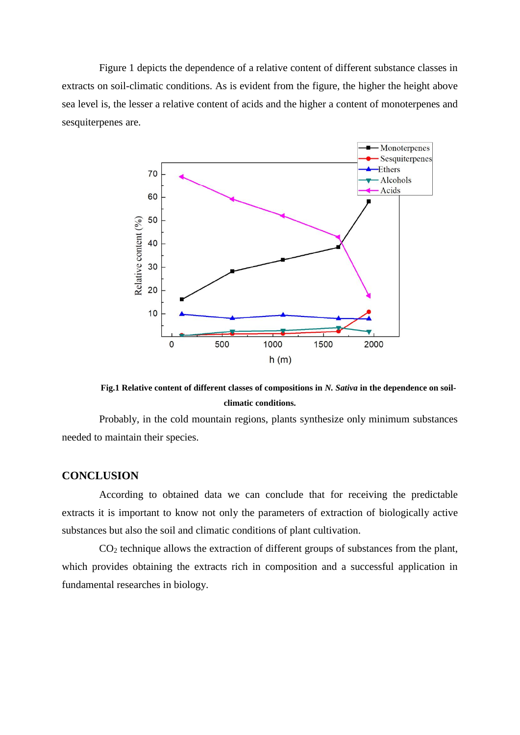Figure 1 depicts the dependence of a relative content of different substance classes in extracts on soil-climatic conditions. As is evident from the figure, the higher the height above sea level is, the lesser a relative content of acids and the higher a content of monoterpenes and sesquiterpenes are.



**Fig.1 Relative content of different classes of compositions in** *N. Sativa* **in the dependence on soilclimatic conditions.**

Probably, in the cold mountain regions, plants synthesize only minimum substances needed to maintain their species.

## **CONCLUSION**

According to obtained data we can conclude that for receiving the predictable extracts it is important to know not only the parameters of extraction of biologically active substances but also the soil and climatic conditions of plant cultivation.

 $CO<sub>2</sub>$  technique allows the extraction of different groups of substances from the plant, which provides obtaining the extracts rich in composition and a successful application in fundamental researches in biology.